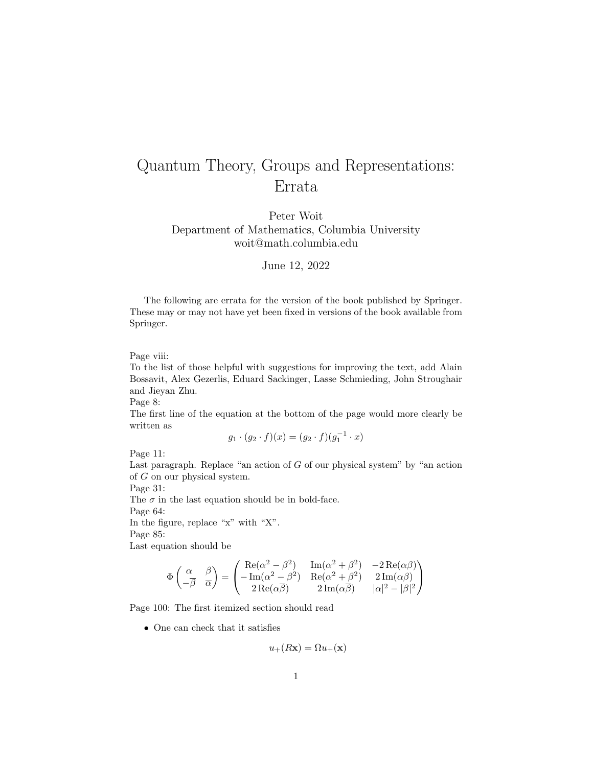## Quantum Theory, Groups and Representations: Errata

Peter Woit Department of Mathematics, Columbia University woit@math.columbia.edu

## June 12, 2022

The following are errata for the version of the book published by Springer. These may or may not have yet been fixed in versions of the book available from Springer.

Page viii:

To the list of those helpful with suggestions for improving the text, add Alain Bossavit, Alex Gezerlis, Eduard Sackinger, Lasse Schmieding, John Stroughair and Jieyan Zhu.

Page 8:

The first line of the equation at the bottom of the page would more clearly be written as

$$
g_1 \cdot (g_2 \cdot f)(x) = (g_2 \cdot f)(g_1^{-1} \cdot x)
$$

Page 11:

Last paragraph. Replace "an action of  $G$  of our physical system" by "an action of G on our physical system.

Page 31:

The  $\sigma$  in the last equation should be in bold-face. Page 64: In the figure, replace "x" with "X". Page 85:

Last equation should be

$$
\Phi\begin{pmatrix} \alpha & \beta \\ -\overline{\beta} & \overline{\alpha} \end{pmatrix} = \begin{pmatrix} \text{Re}(\alpha^2 - \beta^2) & \text{Im}(\alpha^2 + \beta^2) & -2\,\text{Re}(\alpha\beta) \\ -\,\text{Im}(\alpha^2 - \beta^2) & \text{Re}(\alpha^2 + \beta^2) & 2\,\text{Im}(\alpha\beta) \\ 2\,\text{Re}(\alpha\overline{\beta}) & 2\,\text{Im}(\alpha\overline{\beta}) & |\alpha|^2 - |\beta|^2 \end{pmatrix}
$$

Page 100: The first itemized section should read

• One can check that it satisfies

$$
u_{+}(R\mathbf{x}) = \Omega u_{+}(\mathbf{x})
$$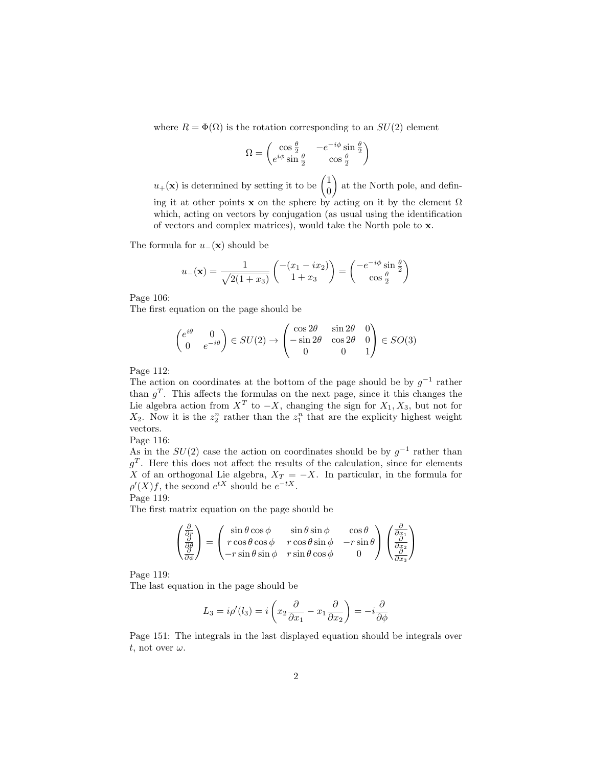where  $R = \Phi(\Omega)$  is the rotation corresponding to an  $SU(2)$  element

$$
\Omega = \begin{pmatrix} \cos\frac{\theta}{2} & -e^{-i\phi}\sin\frac{\theta}{2} \\ e^{i\phi}\sin\frac{\theta}{2} & \cos\frac{\theta}{2} \end{pmatrix}
$$

 $u_+(\mathbf{x})$  is determined by setting it to be  $\begin{pmatrix} 1 \\ 0 \end{pmatrix}$ 0 at the North pole, and defining it at other points x on the sphere by acting on it by the element  $\Omega$ which, acting on vectors by conjugation (as usual using the identification

of vectors and complex matrices), would take the North pole to x.

The formula for  $u_-(\mathbf{x})$  should be

$$
u_{-}(\mathbf{x}) = \frac{1}{\sqrt{2(1+x_3)}} \begin{pmatrix} -(x_1 - ix_2) \\ 1 + x_3 \end{pmatrix} = \begin{pmatrix} -e^{-i\phi} \sin\frac{\theta}{2} \\ \cos\frac{\theta}{2} \end{pmatrix}
$$

Page 106:

The first equation on the page should be

$$
\begin{pmatrix} e^{i\theta} & 0\\ 0 & e^{-i\theta} \end{pmatrix} \in SU(2) \to \begin{pmatrix} \cos 2\theta & \sin 2\theta & 0\\ -\sin 2\theta & \cos 2\theta & 0\\ 0 & 0 & 1 \end{pmatrix} \in SO(3)
$$

Page 112:

The action on coordinates at the bottom of the page should be by  $g^{-1}$  rather than  $g<sup>T</sup>$ . This affects the formulas on the next page, since it this changes the Lie algebra action from  $X^T$  to  $-X$ , changing the sign for  $X_1, X_3$ , but not for  $X_2$ . Now it is the  $z_2^n$  rather than the  $z_1^n$  that are the explicity highest weight vectors.

Page 116:

As in the  $SU(2)$  case the action on coordinates should be by  $g^{-1}$  rather than  $g<sup>T</sup>$ . Here this does not affect the results of the calculation, since for elements X of an orthogonal Lie algebra,  $X_T = -X$ . In particular, in the formula for  $\rho'(X)f$ , the second  $e^{tX}$  should be  $e^{-tX}$ .

Page 119:

The first matrix equation on the page should be

$$
\begin{pmatrix}\n\frac{\partial}{\partial r} \\
\frac{\partial}{\partial \theta} \\
\frac{\partial}{\partial \phi}\n\end{pmatrix} = \begin{pmatrix}\n\sin \theta \cos \phi & \sin \theta \sin \phi & \cos \theta \\
r \cos \theta \cos \phi & r \cos \theta \sin \phi & -r \sin \theta \\
-r \sin \theta \sin \phi & r \sin \theta \cos \phi & 0\n\end{pmatrix} \begin{pmatrix}\n\frac{\partial}{\partial x_1} \\
\frac{\partial}{\partial x_2} \\
\frac{\partial}{\partial x_3}\n\end{pmatrix}
$$

Page 119:

The last equation in the page should be

$$
L_3 = i \rho'(l_3) = i \left( x_2 \frac{\partial}{\partial x_1} - x_1 \frac{\partial}{\partial x_2} \right) = -i \frac{\partial}{\partial \phi}
$$

Page 151: The integrals in the last displayed equation should be integrals over t, not over  $\omega$ .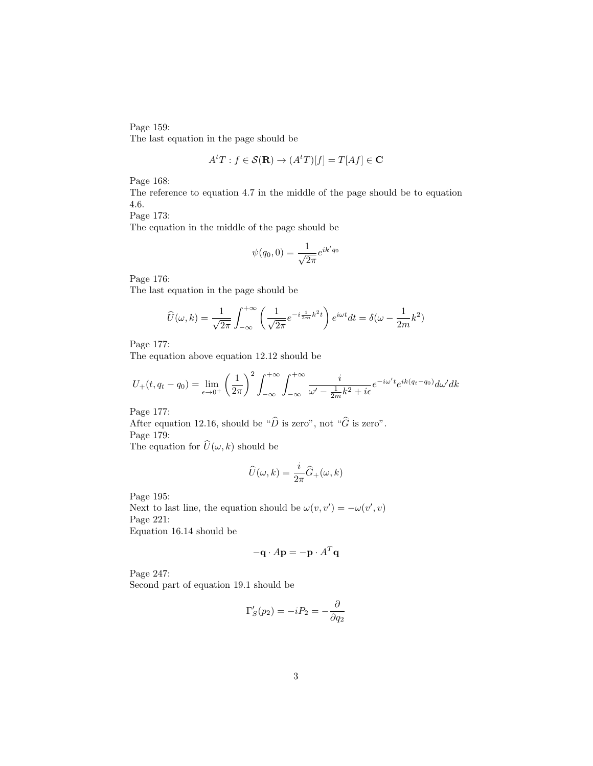Page 159: The last equation in the page should be

$$
A^t T : f \in \mathcal{S}(\mathbf{R}) \to (A^t T)[f] = T[A f] \in \mathbf{C}
$$

Page 168:

The reference to equation 4.7 in the middle of the page should be to equation 4.6.

Page 173:

The equation in the middle of the page should be

$$
\psi(q_0, 0) = \frac{1}{\sqrt{2\pi}} e^{ik'q_0}
$$

Page 176:

The last equation in the page should be

$$
\widehat{U}(\omega,k) = \frac{1}{\sqrt{2\pi}} \int_{-\infty}^{+\infty} \left( \frac{1}{\sqrt{2\pi}} e^{-i\frac{1}{2m}k^2t} \right) e^{i\omega t} dt = \delta(\omega - \frac{1}{2m}k^2)
$$

Page 177:

The equation above equation 12.12 should be

$$
U_{+}(t, q_{t}-q_{0}) = \lim_{\epsilon \to 0^{+}} \left(\frac{1}{2\pi}\right)^{2} \int_{-\infty}^{+\infty} \int_{-\infty}^{+\infty} \frac{i}{\omega' - \frac{1}{2m}k^{2} + i\epsilon} e^{-i\omega' t} e^{ik(q_{t}-q_{0})} d\omega' dk
$$

Page 177:

After equation 12.16, should be " $\hat{D}$  is zero", not " $\hat{G}$  is zero". Page 179: The equation for  $\widehat{U}(\omega, k)$  should be

$$
\widehat{U}(\omega,k)=\frac{i}{2\pi}\widehat{G}_+(\omega,k)
$$

Page 195:

Next to last line, the equation should be  $\omega(v, v') = -\omega(v', v)$ Page 221: Equation 16.14 should be

$$
-\mathbf{q} \cdot A\mathbf{p} = -\mathbf{p} \cdot A^T \mathbf{q}
$$

Page 247: Second part of equation 19.1 should be

$$
\Gamma_S'(p_2) = -iP_2 = -\frac{\partial}{\partial q_2}
$$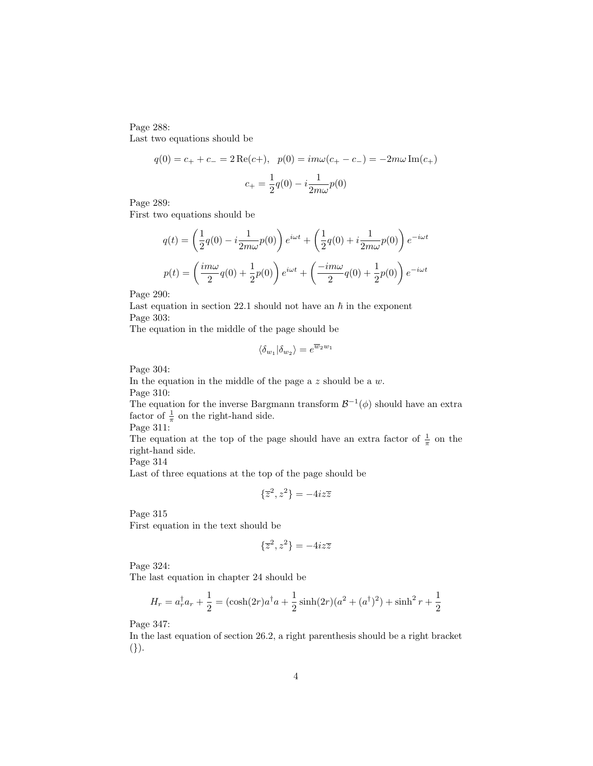Page 288: Last two equations should be

$$
q(0) = c_{+} + c_{-} = 2 \operatorname{Re}(c_{+}), \quad p(0) = im\omega(c_{+} - c_{-}) = -2m\omega \operatorname{Im}(c_{+})
$$

$$
c_{+} = \frac{1}{2}q(0) - i\frac{1}{2m\omega}p(0)
$$

Page 289:

First two equations should be

$$
q(t) = \left(\frac{1}{2}q(0) - i\frac{1}{2m\omega}p(0)\right)e^{i\omega t} + \left(\frac{1}{2}q(0) + i\frac{1}{2m\omega}p(0)\right)e^{-i\omega t}
$$

$$
p(t) = \left(\frac{im\omega}{2}q(0) + \frac{1}{2}p(0)\right)e^{i\omega t} + \left(\frac{-im\omega}{2}q(0) + \frac{1}{2}p(0)\right)e^{-i\omega t}
$$

Page 290:

Last equation in section 22.1 should not have an  $\hbar$  in the exponent Page 303:

The equation in the middle of the page should be

$$
\langle \delta_{w_1} | \delta_{w_2} \rangle = e^{\overline{w}_2 w_1}
$$

Page 304:

In the equation in the middle of the page a  $z$  should be a  $w$ . Page 310:

The equation for the inverse Bargmann transform  $\mathcal{B}^{-1}(\phi)$  should have an extra factor of  $\frac{1}{\pi}$  on the right-hand side.

Page 311:

The equation at the top of the page should have an extra factor of  $\frac{1}{\pi}$  on the right-hand side.

Page 314

Last of three equations at the top of the page should be

$$
\{\overline{z}^2, z^2\} = -4iz\overline{z}
$$

Page 315

First equation in the text should be

$$
\{\overline{z}^2, z^2\} = -4iz\overline{z}
$$

Page 324:

The last equation in chapter 24 should be

$$
H_r = a_r^{\dagger} a_r + \frac{1}{2} = (\cosh(2r)a^{\dagger} a + \frac{1}{2}\sinh(2r)(a^2 + (a^{\dagger})^2) + \sinh^2 r + \frac{1}{2}
$$

Page 347:

In the last equation of section 26.2, a right parenthesis should be a right bracket (}).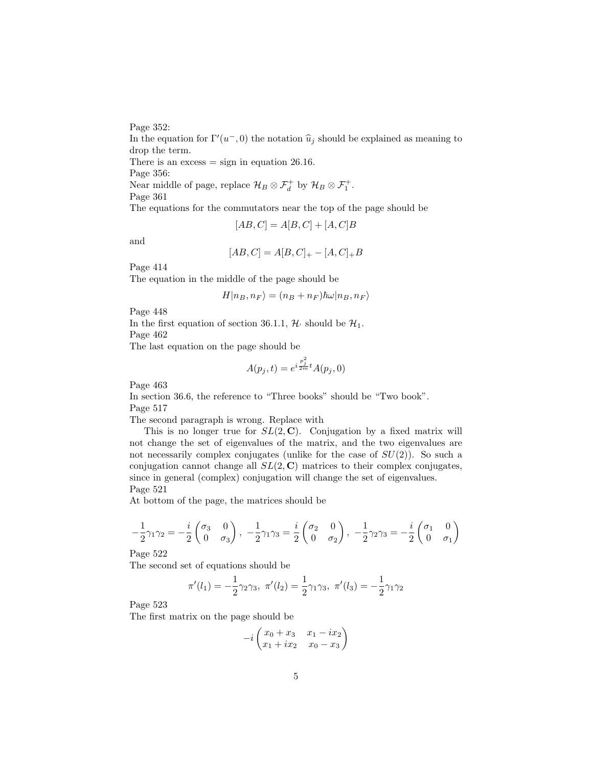Page 352:

In the equation for  $\Gamma'(u^-, 0)$  the notation  $\hat{u}_j$  should be explained as meaning to drop the term drop the term. There is an excess  $=$  sign in equation 26.16. Page 356: Near middle of page, replace  $\mathcal{H}_B \otimes \mathcal{F}_d^+$  by  $\mathcal{H}_B \otimes \mathcal{F}_1^+$ .

Page 361

The equations for the commutators near the top of the page should be

$$
[AB, C] = A[B, C] + [A, C]B
$$

and

$$
[AB, C] = A[B, C]_+ - [A, C]_+ B
$$

Page 414

The equation in the middle of the page should be

$$
H|n_B, n_F\rangle = (n_B + n_F)\hbar\omega|n_B, n_F\rangle
$$

Page 448

In the first equation of section 36.1.1,  $\mathcal{H}$  should be  $\mathcal{H}_1$ . Page 462

The last equation on the page should be

$$
A(p_j, t) = e^{i\frac{p_j^2}{2m}t} A(p_j, 0)
$$

Page 463

In section 36.6, the reference to "Three books" should be "Two book". Page 517

The second paragraph is wrong. Replace with

This is no longer true for  $SL(2, \mathbb{C})$ . Conjugation by a fixed matrix will not change the set of eigenvalues of the matrix, and the two eigenvalues are not necessarily complex conjugates (unlike for the case of  $SU(2)$ ). So such a conjugation cannot change all  $SL(2, \mathbb{C})$  matrices to their complex conjugates, since in general (complex) conjugation will change the set of eigenvalues. Page 521

At bottom of the page, the matrices should be

$$
-\frac{1}{2}\gamma_1\gamma_2=-\frac{i}{2}\begin{pmatrix}\sigma_3&0\\0&\sigma_3\end{pmatrix},\ -\frac{1}{2}\gamma_1\gamma_3=\frac{i}{2}\begin{pmatrix}\sigma_2&0\\0&\sigma_2\end{pmatrix},\ -\frac{1}{2}\gamma_2\gamma_3=-\frac{i}{2}\begin{pmatrix}\sigma_1&0\\0&\sigma_1\end{pmatrix}
$$

Page 522

The second set of equations should be

$$
\pi'(l_1) = -\frac{1}{2}\gamma_2\gamma_3, \ \pi'(l_2) = \frac{1}{2}\gamma_1\gamma_3, \ \pi'(l_3) = -\frac{1}{2}\gamma_1\gamma_2
$$

Page 523

The first matrix on the page should be

$$
-i\begin{pmatrix}x_0+x_3&x_1-ix_2\\x_1+ix_2&x_0-x_3\end{pmatrix}
$$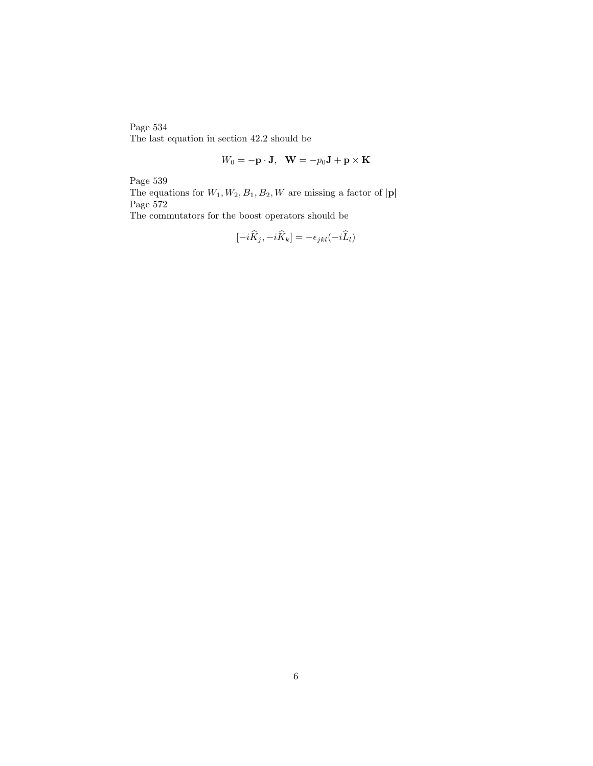Page 534 The last equation in section 42.2 should be

$$
W_0 = -\mathbf{p} \cdot \mathbf{J}, \quad \mathbf{W} = -p_0 \mathbf{J} + \mathbf{p} \times \mathbf{K}
$$

Page 539

The equations for  $W_1, W_2, B_1, B_2, W$  are missing a factor of  $|\mathbf{p}|$ Page  $572\,$ 

The commutators for the boost operators should be

$$
[-i\widehat{K}_j, -i\widehat{K}_k] = -\epsilon_{jkl}(-i\widehat{L}_l)
$$